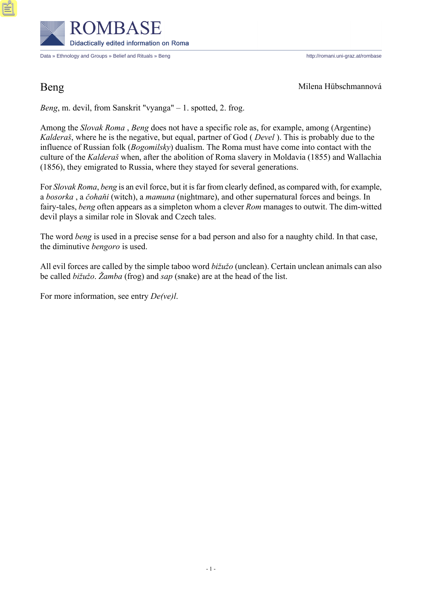

Data » Ethnology and Groups » Belief and Rituals » Beng http://romani.uni-graz.at/rombase

Beng Milena Hübschmannová

*Beng*, m. devil, from Sanskrit "vyanga" – 1. spotted, 2. frog.

Among the *Slovak Roma* , *Beng* does not have a specific role as, for example, among (Argentine) *Kalderaš*, where he is the negative, but equal, partner of God ( *Devel* ). This is probably due to the influence of Russian folk (*Bogomilsky*) dualism. The Roma must have come into contact with the culture of the *Kalderaš* when, after the abolition of Roma slavery in Moldavia (1855) and Wallachia (1856), they emigrated to Russia, where they stayed for several generations.

For *Slovak Roma*, *beng* is an evil force, but it is far from clearly defined, as compared with, for example, a *bosorka* , a *čohaňi* (witch), a *mamuna* (nightmare), and other supernatural forces and beings. In fairy-tales, *beng* often appears as a simpleton whom a clever *Rom* manages to outwit. The dim-witted devil plays a similar role in Slovak and Czech tales.

The word *beng* is used in a precise sense for a bad person and also for a naughty child. In that case, the diminutive *bengoro* is used.

All evil forces are called by the simple taboo word *bižužo* (unclean). Certain unclean animals can also be called *bižužo*. *Žamba* (frog) and *sap* (snake) are at the head of the list.

For more information, see entry *De(ve)l*.